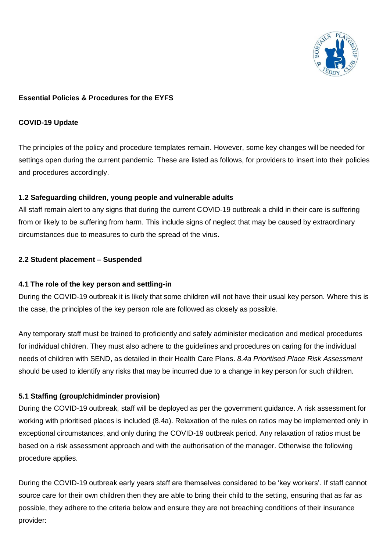

### **Essential Policies & Procedures for the EYFS**

#### **COVID-19 Update**

The principles of the policy and procedure templates remain. However, some key changes will be needed for settings open during the current pandemic. These are listed as follows, for providers to insert into their policies and procedures accordingly.

### **1.2 Safeguarding children, young people and vulnerable adults**

All staff remain alert to any signs that during the current COVID-19 outbreak a child in their care is suffering from or likely to be suffering from harm. This include signs of neglect that may be caused by extraordinary circumstances due to measures to curb the spread of the virus.

### **2.2 Student placement – Suspended**

### **4.1 The role of the key person and settling-in**

During the COVID-19 outbreak it is likely that some children will not have their usual key person. Where this is the case, the principles of the key person role are followed as closely as possible.

Any temporary staff must be trained to proficiently and safely administer medication and medical procedures for individual children. They must also adhere to the guidelines and procedures on caring for the individual needs of children with SEND, as detailed in their Health Care Plans. *8.4a Prioritised Place Risk Assessment*  should be used to identify any risks that may be incurred due to a change in key person for such children.

### **5.1 Staffing (group/chidminder provision)**

During the COVID-19 outbreak, staff will be deployed as per the government guidance. A risk assessment for working with prioritised places is included (8.4a). Relaxation of the rules on ratios may be implemented only in exceptional circumstances, and only during the COVID-19 outbreak period. Any relaxation of ratios must be based on a risk assessment approach and with the authorisation of the manager. Otherwise the following procedure applies.

During the COVID-19 outbreak early years staff are themselves considered to be 'key workers'. If staff cannot source care for their own children then they are able to bring their child to the setting, ensuring that as far as possible, they adhere to the criteria below and ensure they are not breaching conditions of their insurance provider: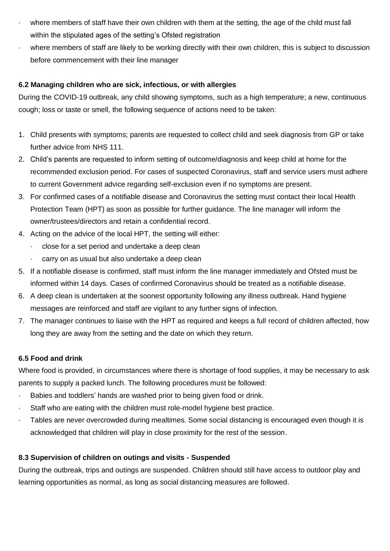- where members of staff have their own children with them at the setting, the age of the child must fall within the stipulated ages of the setting's Ofsted registration
- where members of staff are likely to be working directly with their own children, this is subject to discussion before commencement with their line manager

## **6.2 Managing children who are sick, infectious, or with allergies**

During the COVID-19 outbreak, any child showing symptoms, such as a high temperature; a new, continuous cough; loss or taste or smell, the following sequence of actions need to be taken:

- 1. Child presents with symptoms; parents are requested to collect child and seek diagnosis from GP or take further advice from NHS 111.
- 2. Child's parents are requested to inform setting of outcome/diagnosis and keep child at home for the recommended exclusion period. For cases of suspected Coronavirus, staff and service users must adhere to current Government advice regarding self-exclusion even if no symptoms are present.
- 3. For confirmed cases of a notifiable disease and Coronavirus the setting must contact their local Health Protection Team (HPT) as soon as possible for further guidance. The line manager will inform the owner/trustees/directors and retain a confidential record.
- 4. Acting on the advice of the local HPT, the setting will either:
	- close for a set period and undertake a deep clean
	- carry on as usual but also undertake a deep clean
- 5. If a notifiable disease is confirmed, staff must inform the line manager immediately and Ofsted must be informed within 14 days. Cases of confirmed Coronavirus should be treated as a notifiable disease.
- 6. A deep clean is undertaken at the soonest opportunity following any illness outbreak. Hand hygiene messages are reinforced and staff are vigilant to any further signs of infection.
- 7. The manager continues to liaise with the HPT as required and keeps a full record of children affected, how long they are away from the setting and the date on which they return.

# **6.5 Food and drink**

Where food is provided, in circumstances where there is shortage of food supplies, it may be necessary to ask parents to supply a packed lunch. The following procedures must be followed:

- Babies and toddlers' hands are washed prior to being given food or drink.
- · Staff who are eating with the children must role-model hygiene best practice.
- · Tables are never overcrowded during mealtimes. Some social distancing is encouraged even though it is acknowledged that children will play in close proximity for the rest of the session.

# **8.3 Supervision of children on outings and visits - Suspended**

During the outbreak, trips and outings are suspended. Children should still have access to outdoor play and learning opportunities as normal, as long as social distancing measures are followed.